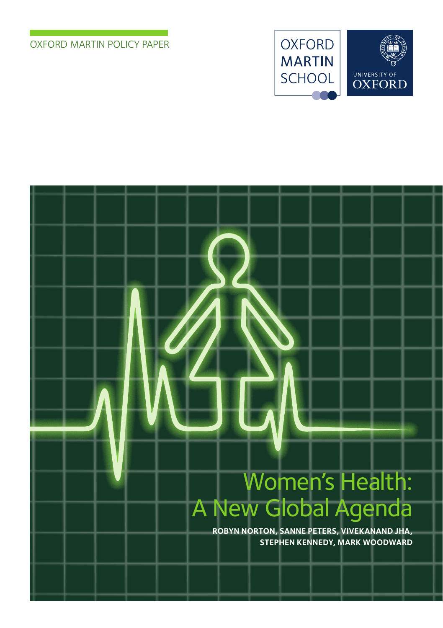#### Oxford Martin Policy Paper





# Women's Health: A New Global Agenda

**Robyn Norton, Sanne Peters, Vivekanand Jha, Stephen Kennedy, Mark Woodward**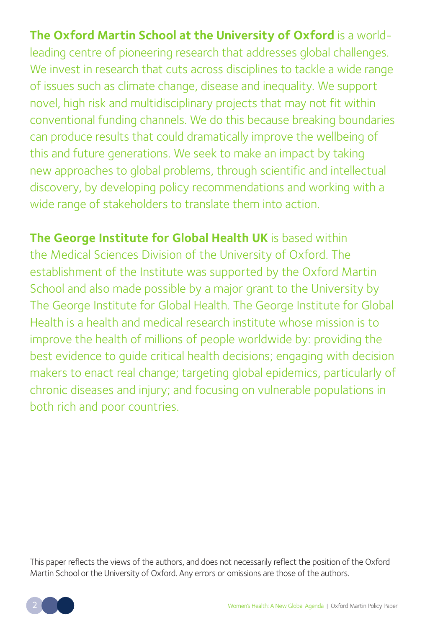**The Oxford Martin School at the University of Oxford** is a worldleading centre of pioneering research that addresses global challenges. We invest in research that cuts across disciplines to tackle a wide range of issues such as climate change, disease and inequality. We support novel, high risk and multidisciplinary projects that may not fit within conventional funding channels. We do this because breaking boundaries can produce results that could dramatically improve the wellbeing of this and future generations. We seek to make an impact by taking new approaches to global problems, through scientific and intellectual discovery, by developing policy recommendations and working with a wide range of stakeholders to translate them into action.

**The George Institute for Global Health UK** is based within the Medical Sciences Division of the University of Oxford. The establishment of the Institute was supported by the Oxford Martin School and also made possible by a major grant to the University by The George Institute for Global Health. The George Institute for Global Health is a health and medical research institute whose mission is to improve the health of millions of people worldwide by: providing the best evidence to guide critical health decisions; engaging with decision makers to enact real change; targeting global epidemics, particularly of chronic diseases and injury; and focusing on vulnerable populations in both rich and poor countries.

This paper reflects the views of the authors, and does not necessarily reflect the position of the Oxford Martin School or the University of Oxford. Any errors or omissions are those of the authors.

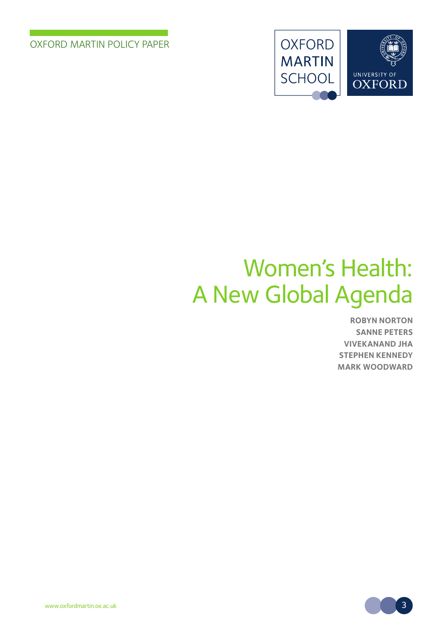Oxford Martin Policy Paper



# Women's Health: A New Global Agenda

**Robyn Norton Sanne Peters Vivekanand Jha Stephen Kennedy Mark Woodward**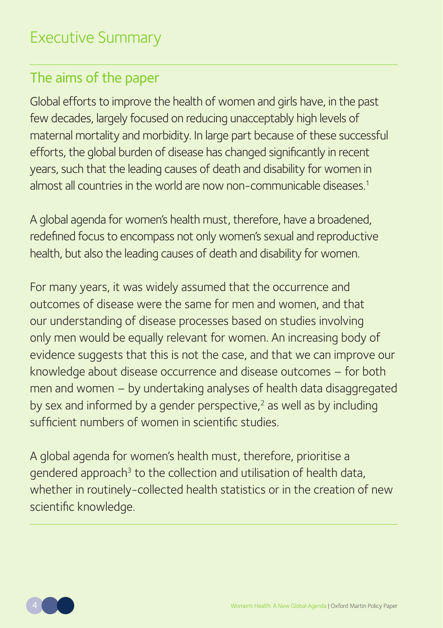### The aims of the paper

Global efforts to improve the health of women and girls have, in the past few decades, largely focused on reducing unacceptably high levels of maternal mortality and morbidity. In large part because of these successful efforts, the global burden of disease has changed significantly in recent years, such that the leading causes of death and disability for women in almost all countries in the world are now non-communicable diseases.<sup>1</sup>

A global agenda for women's health must, therefore, have a broadened, redefined focus to encompass not only women's sexual and reproductive health, but also the leading causes of death and disability for women.

For many years, it was widely assumed that the occurrence and outcomes of disease were the same for men and women, and that our understanding of disease processes based on studies involving only men would be equally relevant for women. An increasing body of evidence suggests that this is not the case, and that we can improve our knowledge about disease occurrence and disease outcomes – for both men and women – by undertaking analyses of health data disaggregated by sex and informed by a gender perspective, $2$  as well as by including sufficient numbers of women in scientific studies.

A global agenda for women's health must, therefore, prioritise a gendered approach<sup>3</sup> to the collection and utilisation of health data, whether in routinely-collected health statistics or in the creation of new scientific knowledge.

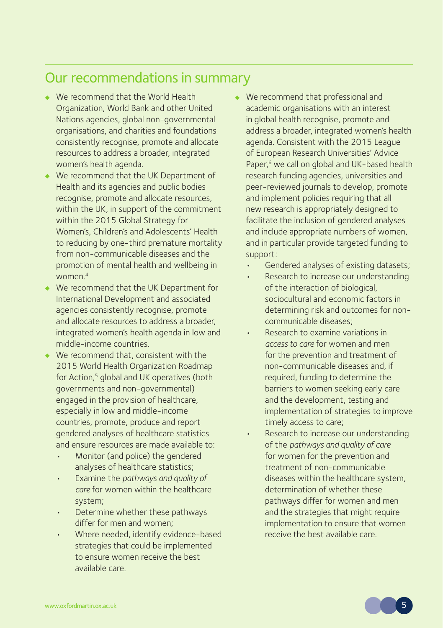### Our recommendations in summary

- We recommend that the World Health Organization, World Bank and other United Nations agencies, global non-governmental organisations, and charities and foundations consistently recognise, promote and allocate resources to address a broader, integrated women's health agenda.
- We recommend that the UK Department of Health and its agencies and public bodies recognise, promote and allocate resources, within the UK, in support of the commitment within the 2015 Global Strategy for Women's, Children's and Adolescents' Health to reducing by one-third premature mortality from non-communicable diseases and the promotion of mental health and wellbeing in women.4
- We recommend that the UK Department for International Development and associated agencies consistently recognise, promote and allocate resources to address a broader, integrated women's health agenda in low and middle-income countries.
- We recommend that, consistent with the 2015 World Health Organization Roadmap for Action,<sup>5</sup> global and UK operatives (both governments and non-governmental) engaged in the provision of healthcare, especially in low and middle-income countries, promote, produce and report gendered analyses of healthcare statistics and ensure resources are made available to:
	- Monitor (and police) the gendered analyses of healthcare statistics;
	- Examine the *pathways and quality of care* for women within the healthcare system;
	- Determine whether these pathways differ for men and women;
	- Where needed, identify evidence-based strategies that could be implemented to ensure women receive the best available care.
- We recommend that professional and academic organisations with an interest in global health recognise, promote and address a broader, integrated women's health agenda. Consistent with the 2015 League of European Research Universities' Advice Paper,<sup>6</sup> we call on global and UK-based health research funding agencies, universities and peer-reviewed journals to develop, promote and implement policies requiring that all new research is appropriately designed to facilitate the inclusion of gendered analyses and include appropriate numbers of women, and in particular provide targeted funding to support:
	- Gendered analyses of existing datasets;
	- Research to increase our understanding of the interaction of biological, sociocultural and economic factors in determining risk and outcomes for noncommunicable diseases;
	- Research to examine variations in *access to care* for women and men for the prevention and treatment of non-communicable diseases and, if required, funding to determine the barriers to women seeking early care and the development, testing and implementation of strategies to improve timely access to care;
	- Research to increase our understanding of the *pathways and quality of care* for women for the prevention and treatment of non-communicable diseases within the healthcare system, determination of whether these pathways differ for women and men and the strategies that might require implementation to ensure that women receive the best available care.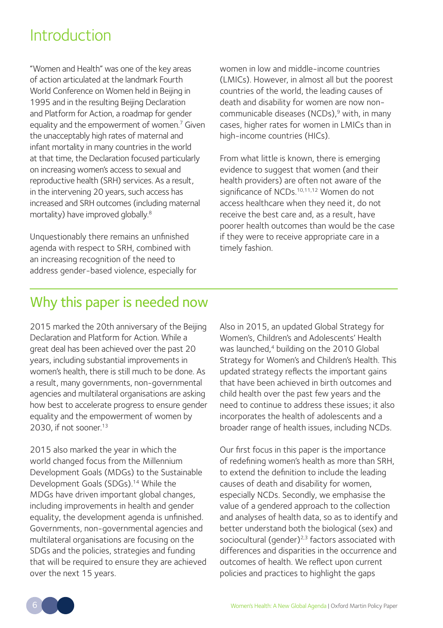### **Introduction**

"Women and Health" was one of the key areas of action articulated at the landmark Fourth World Conference on Women held in Beijing in 1995 and in the resulting Beijing Declaration and Platform for Action, a roadmap for gender equality and the empowerment of women.<sup>7</sup> Given the unacceptably high rates of maternal and infant mortality in many countries in the world at that time, the Declaration focused particularly on increasing women's access to sexual and reproductive health (SRH) services. As a result, in the intervening 20 years, such access has increased and SRH outcomes (including maternal mortality) have improved globally.8

Unquestionably there remains an unfinished agenda with respect to SRH, combined with an increasing recognition of the need to address gender-based violence, especially for women in low and middle-income countries (LMICs). However, in almost all but the poorest countries of the world, the leading causes of death and disability for women are now noncommunicable diseases (NCDs).<sup>9</sup> with, in many cases, higher rates for women in LMICs than in high-income countries (HICs).

From what little is known, there is emerging evidence to suggest that women (and their health providers) are often not aware of the significance of NCDs.<sup>10,11,12</sup> Women do not access healthcare when they need it, do not receive the best care and, as a result, have poorer health outcomes than would be the case if they were to receive appropriate care in a timely fashion.

### Why this paper is needed now

2015 marked the 20th anniversary of the Beijing Declaration and Platform for Action. While a great deal has been achieved over the past 20 years, including substantial improvements in women's health, there is still much to be done. As a result, many governments, non-governmental agencies and multilateral organisations are asking how best to accelerate progress to ensure gender equality and the empowerment of women by 2030, if not sooner<sup>13</sup>

2015 also marked the year in which the world changed focus from the Millennium Development Goals (MDGs) to the Sustainable Development Goals (SDGs).<sup>14</sup> While the MDGs have driven important global changes, including improvements in health and gender equality, the development agenda is unfinished. Governments, non-governmental agencies and multilateral organisations are focusing on the SDGs and the policies, strategies and funding that will be required to ensure they are achieved over the next 15 years.

Also in 2015, an updated Global Strategy for Women's, Children's and Adolescents' Health was launched,<sup>4</sup> building on the 2010 Global Strategy for Women's and Children's Health. This updated strategy reflects the important gains that have been achieved in birth outcomes and child health over the past few years and the need to continue to address these issues; it also incorporates the health of adolescents and a broader range of health issues, including NCDs.

Our first focus in this paper is the importance of redefining women's health as more than SRH, to extend the definition to include the leading causes of death and disability for women, especially NCDs. Secondly, we emphasise the value of a gendered approach to the collection and analyses of health data, so as to identify and better understand both the biological (sex) and sociocultural (gender)<sup>2,3</sup> factors associated with differences and disparities in the occurrence and outcomes of health. We reflect upon current policies and practices to highlight the gaps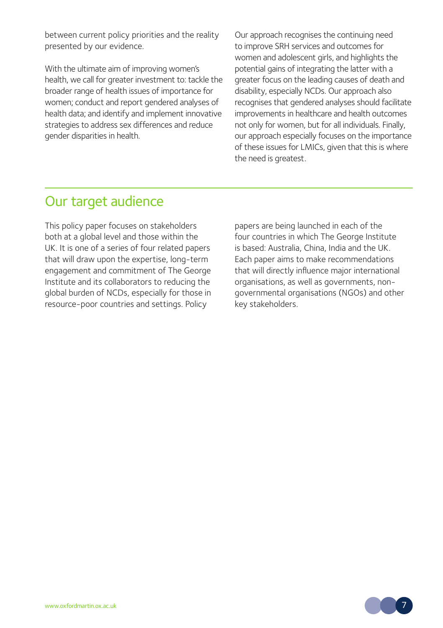between current policy priorities and the reality presented by our evidence.

With the ultimate aim of improving women's health, we call for greater investment to: tackle the broader range of health issues of importance for women; conduct and report gendered analyses of health data; and identify and implement innovative strategies to address sex differences and reduce gender disparities in health.

Our approach recognises the continuing need to improve SRH services and outcomes for women and adolescent girls, and highlights the potential gains of integrating the latter with a greater focus on the leading causes of death and disability, especially NCDs. Our approach also recognises that gendered analyses should facilitate improvements in healthcare and health outcomes not only for women, but for all individuals. Finally, our approach especially focuses on the importance of these issues for LMICs, given that this is where the need is greatest.

### Our target audience

This policy paper focuses on stakeholders both at a global level and those within the UK. It is one of a series of four related papers that will draw upon the expertise, long-term engagement and commitment of The George Institute and its collaborators to reducing the global burden of NCDs, especially for those in resource-poor countries and settings. Policy

papers are being launched in each of the four countries in which The George Institute is based: Australia, China, India and the UK. Each paper aims to make recommendations that will directly influence major international organisations, as well as governments, nongovernmental organisations (NGOs) and other key stakeholders.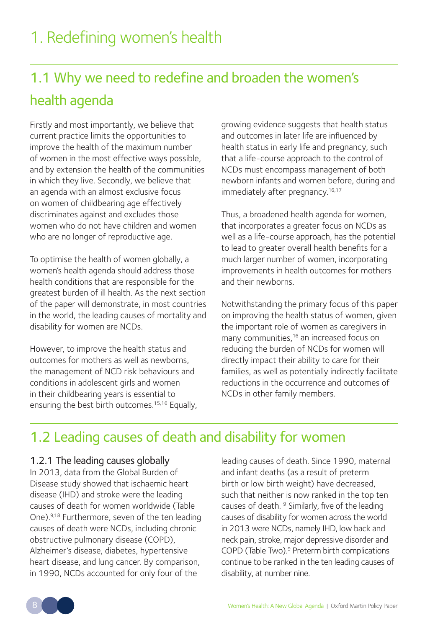# 1.1 Why we need to redefine and broaden the women's health agenda

Firstly and most importantly, we believe that current practice limits the opportunities to improve the health of the maximum number of women in the most effective ways possible, and by extension the health of the communities in which they live. Secondly, we believe that an agenda with an almost exclusive focus on women of childbearing age effectively discriminates against and excludes those women who do not have children and women who are no longer of reproductive age.

To optimise the health of women globally, a women's health agenda should address those health conditions that are responsible for the greatest burden of ill health. As the next section of the paper will demonstrate, in most countries in the world, the leading causes of mortality and disability for women are NCDs.

However, to improve the health status and outcomes for mothers as well as newborns, the management of NCD risk behaviours and conditions in adolescent girls and women in their childbearing years is essential to ensuring the best birth outcomes.<sup>15,16</sup> Equally, growing evidence suggests that health status and outcomes in later life are influenced by health status in early life and pregnancy, such that a life-course approach to the control of NCDs must encompass management of both newborn infants and women before, during and immediately after pregnancy.<sup>16,17</sup>

Thus, a broadened health agenda for women, that incorporates a greater focus on NCDs as well as a life-course approach, has the potential to lead to greater overall health benefits for a much larger number of women, incorporating improvements in health outcomes for mothers and their newborns.

Notwithstanding the primary focus of this paper on improving the health status of women, given the important role of women as caregivers in many communities,<sup>16</sup> an increased focus on reducing the burden of NCDs for women will directly impact their ability to care for their families, as well as potentially indirectly facilitate reductions in the occurrence and outcomes of NCDs in other family members.

### 1.2 Leading causes of death and disability for women

#### 1.2.1 The leading causes globally

In 2013, data from the Global Burden of Disease study showed that ischaemic heart disease (IHD) and stroke were the leading causes of death for women worldwide (Table One).9,18 Furthermore, seven of the ten leading causes of death were NCDs, including chronic obstructive pulmonary disease (COPD), Alzheimer's disease, diabetes, hypertensive heart disease, and lung cancer. By comparison, in 1990, NCDs accounted for only four of the

leading causes of death. Since 1990, maternal and infant deaths (as a result of preterm birth or low birth weight) have decreased, such that neither is now ranked in the top ten causes of death.<sup>9</sup> Similarly, five of the leading causes of disability for women across the world in 2013 were NCDs, namely IHD, low back and neck pain, stroke, major depressive disorder and COPD (Table Two).9 Preterm birth complications continue to be ranked in the ten leading causes of disability, at number nine.

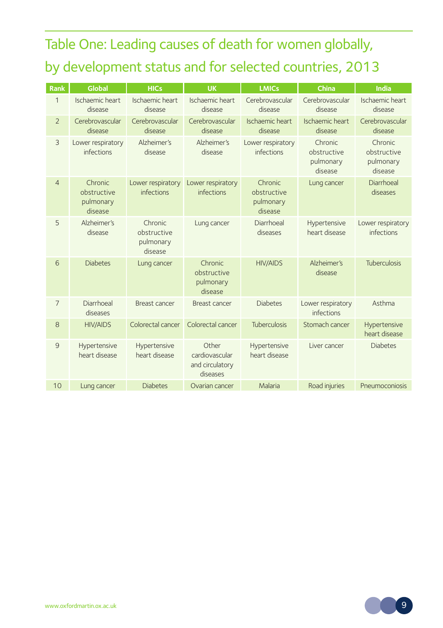# Table One: Leading causes of death for women globally, by development status and for selected countries, 2013

| Rank                     | <b>Global</b>                                  | <b>HICs</b>                                    | <b>UK</b>                                              | <b>LMICs</b>                                   | China                                          | India                                          |
|--------------------------|------------------------------------------------|------------------------------------------------|--------------------------------------------------------|------------------------------------------------|------------------------------------------------|------------------------------------------------|
| $\mathbf{1}$             | Ischaemic heart<br>disease                     | Ischaemic heart<br>disease                     | Ischaemic heart<br>disease                             | Cerebrovascular<br>disease                     | Cerebrovascular<br>disease                     | Ischaemic heart<br>disease                     |
| $\overline{\phantom{0}}$ | Cerebrovascular<br>disease                     | Cerebrovascular<br>disease                     | Cerebrovascular<br>disease                             | Ischaemic heart<br>disease                     | Ischaemic heart<br>disease                     | Cerebrovascular<br>disease                     |
| 3                        | Lower respiratory<br>infections                | Alzheimer's<br>disease                         | Alzheimer's<br>disease                                 | Lower respiratory<br>infections                | Chronic<br>obstructive<br>pulmonary<br>disease | Chronic<br>obstructive<br>pulmonary<br>disease |
| $\overline{4}$           | Chronic<br>obstructive<br>pulmonary<br>disease | Lower respiratory<br>infections                | Lower respiratory<br>infections                        | Chronic<br>obstructive<br>pulmonary<br>disease | Lung cancer                                    | Diarrhoeal<br>diseases                         |
| 5                        | Alzheimer's<br>disease                         | Chronic<br>obstructive<br>pulmonary<br>disease | Lung cancer                                            | Diarrhoeal<br>diseases                         | Hypertensive<br>heart disease                  | Lower respiratory<br>infections                |
| 6                        | <b>Diabetes</b>                                | Lung cancer                                    | Chronic<br>obstructive<br>pulmonary<br>disease         | <b>HIV/AIDS</b>                                | Alzheimer's<br>disease                         | <b>Tuberculosis</b>                            |
| $\overline{7}$           | Diarrhoeal<br>diseases                         | Breast cancer                                  | Breast cancer                                          | <b>Diabetes</b>                                | Lower respiratory<br>infections                | Asthma                                         |
| 8                        | <b>HIV/AIDS</b>                                | Colorectal cancer                              | Colorectal cancer                                      | <b>Tuberculosis</b>                            | Stomach cancer                                 | Hypertensive<br>heart disease                  |
| 9                        | Hypertensive<br>heart disease                  | Hypertensive<br>heart disease                  | Other<br>cardiovascular<br>and circulatory<br>diseases | Hypertensive<br>heart disease                  | Liver cancer                                   | <b>Diabetes</b>                                |
| 10                       | Lung cancer                                    | <b>Diabetes</b>                                | Ovarian cancer                                         | Malaria                                        | Road injuries                                  | Pneumoconiosis                                 |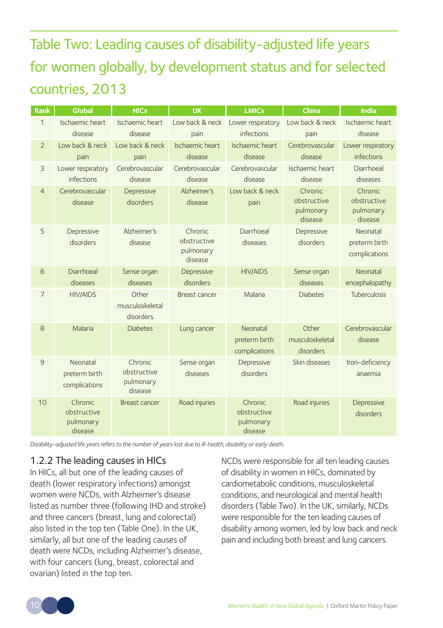Table Two: Leading causes of disability-adjusted life years for women globally, by development status and for selected countries, 2013

| Rank           | Global                                         | <b>HICs</b>                                    | <b>UK</b>                                      | <b>LMICs</b>                                   | China                                          | India                                          |  |
|----------------|------------------------------------------------|------------------------------------------------|------------------------------------------------|------------------------------------------------|------------------------------------------------|------------------------------------------------|--|
| $\mathbf{1}$   | Ischaemic heart                                | Ischaemic heart                                | Low back & neck                                | Lower respiratory                              | Low back & neck                                | Ischaemic heart                                |  |
|                | disease                                        | disease                                        | pain                                           | infections                                     | pain                                           | disease                                        |  |
| $\overline{2}$ | Low back & neck                                | Low back & neck                                | Ischaemic heart                                | Ischaemic heart                                | Cerebrovascular                                | Lower respiratory                              |  |
|                | pain                                           | pain                                           | disease                                        | disease                                        | disease                                        | infections                                     |  |
| 3              | Lower respiratory                              | Cerebrovascular                                | Cerebrovascular                                | Cerebrovascular                                | Ischaemic heart                                | Diarrhoeal                                     |  |
|                | infections                                     | disease                                        | disease                                        | disease                                        | disease                                        | diseases                                       |  |
| $\overline{4}$ | Cerebrovascular<br>disease                     | Depressive<br>disorders                        | Alzheimer's<br>disease                         | Low back & neck<br>pain                        | Chronic<br>obstructive<br>pulmonary<br>disease | Chronic<br>obstructive<br>pulmonary<br>disease |  |
| 5              | Depressive<br>disorders                        | Alzheimer's<br>disease                         | Chronic<br>obstructive<br>pulmonary<br>disease | Diarrhoeal<br>diseases                         | Depressive<br>disorders                        | Neonatal<br>preterm birth<br>complications     |  |
| 6              | Diarrhoeal                                     | Sense organ                                    | Depressive                                     | <b>HIV/AIDS</b>                                | Sense organ                                    | Neonatal                                       |  |
|                | diseases                                       | diseases                                       | disorders                                      |                                                | diseases                                       | encephalopathy                                 |  |
| $\overline{7}$ | <b>HIV/AIDS</b>                                | Other<br>musculoskeletal<br>disorders          | Breast cancer                                  | Malaria                                        | <b>Diabetes</b>                                | Tuberculosis                                   |  |
| 8              | Malaria                                        | <b>Diabetes</b>                                | Lung cancer                                    | Neonatal<br>preterm birth<br>complications     | Other<br>musculoskeletal<br>disorders          | Cerebrovascular<br>disease                     |  |
| 9              | Neonatal<br>preterm birth<br>complications     | Chronic<br>obstructive<br>pulmonary<br>disease | Sense organ<br>diseases                        | Depressive<br>disorders                        | Skin diseases                                  | Iron-deficiency<br>anaemia                     |  |
| 10             | Chronic<br>obstructive<br>pulmonary<br>disease | Breast cancer                                  | Road injuries                                  | Chronic<br>obstructive<br>pulmonary<br>disease | Road injuries                                  | Depressive<br>disorders                        |  |

*Disability-adjusted life years refers to the number of years lost due to ill-health, disability or early death.*

#### 1.2.2 The leading causes in HICs

In HICs, all but one of the leading causes of death (lower respiratory infections) amongst women were NCDs, with Alzheimer's disease listed as number three (following IHD and stroke) and three cancers (breast, lung and colorectal) also listed in the top ten (Table One). In the UK, similarly, all but one of the leading causes of death were NCDs, including Alzheimer's disease, with four cancers (lung, breast, colorectal and ovarian) listed in the top ten.

NCDs were responsible for all ten leading causes of disability in women in HICs, dominated by cardiometabolic conditions, musculoskeletal conditions, and neurological and mental health disorders (Table Two). In the UK, similarly, NCDs were responsible for the ten leading causes of disability among women, led by low back and neck pain and including both breast and lung cancers.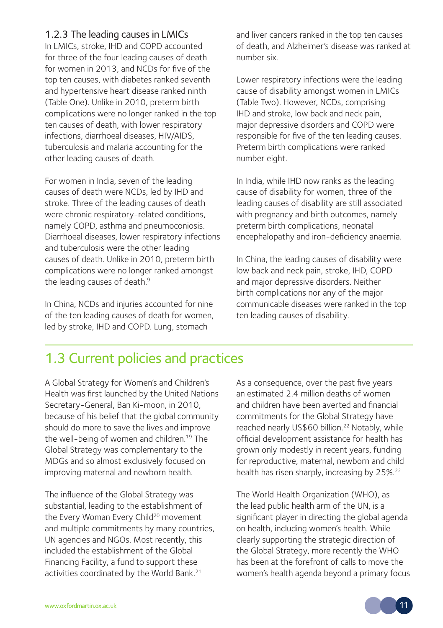#### 1.2.3 The leading causes in LMICs

In LMICs, stroke, IHD and COPD accounted for three of the four leading causes of death for women in 2013, and NCDs for five of the top ten causes, with diabetes ranked seventh and hypertensive heart disease ranked ninth (Table One). Unlike in 2010, preterm birth complications were no longer ranked in the top ten causes of death, with lower respiratory infections, diarrhoeal diseases, HIV/AIDS, tuberculosis and malaria accounting for the other leading causes of death.

For women in India, seven of the leading causes of death were NCDs, led by IHD and stroke. Three of the leading causes of death were chronic respiratory-related conditions, namely COPD, asthma and pneumoconiosis. Diarrhoeal diseases, lower respiratory infections and tuberculosis were the other leading causes of death. Unlike in 2010, preterm birth complications were no longer ranked amongst the leading causes of death.<sup>9</sup>

In China, NCDs and injuries accounted for nine of the ten leading causes of death for women, led by stroke, IHD and COPD. Lung, stomach

and liver cancers ranked in the top ten causes of death, and Alzheimer's disease was ranked at number six.

Lower respiratory infections were the leading cause of disability amongst women in LMICs (Table Two). However, NCDs, comprising IHD and stroke, low back and neck pain, major depressive disorders and COPD were responsible for five of the ten leading causes. Preterm birth complications were ranked number eight.

In India, while IHD now ranks as the leading cause of disability for women, three of the leading causes of disability are still associated with pregnancy and birth outcomes, namely preterm birth complications, neonatal encephalopathy and iron-deficiency anaemia.

In China, the leading causes of disability were low back and neck pain, stroke, IHD, COPD and major depressive disorders. Neither birth complications nor any of the major communicable diseases were ranked in the top ten leading causes of disability.

### 1.3 Current policies and practices

A Global Strategy for Women's and Children's Health was first launched by the United Nations Secretary-General, Ban Ki-moon, in 2010, because of his belief that the global community should do more to save the lives and improve the well-being of women and children.19 The Global Strategy was complementary to the MDGs and so almost exclusively focused on improving maternal and newborn health.

The influence of the Global Strategy was substantial, leading to the establishment of the Every Woman Every Child<sup>20</sup> movement and multiple commitments by many countries, UN agencies and NGOs. Most recently, this included the establishment of the Global Financing Facility, a fund to support these activities coordinated by the World Bank.<sup>21</sup>

As a consequence, over the past five years an estimated 2.4 million deaths of women and children have been averted and financial commitments for the Global Strategy have reached nearly US\$60 billion.<sup>22</sup> Notably, while official development assistance for health has grown only modestly in recent years, funding for reproductive, maternal, newborn and child health has risen sharply, increasing by 25%.<sup>22</sup>

The World Health Organization (WHO), as the lead public health arm of the UN, is a significant player in directing the global agenda on health, including women's health. While clearly supporting the strategic direction of the Global Strategy, more recently the WHO has been at the forefront of calls to move the women's health agenda beyond a primary focus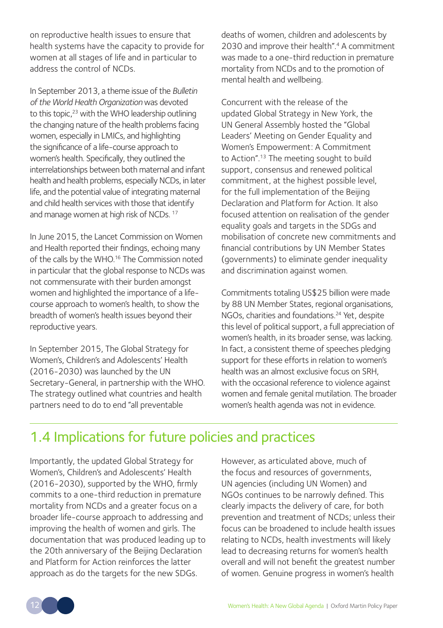on reproductive health issues to ensure that health systems have the capacity to provide for women at all stages of life and in particular to address the control of NCDs.

In September 2013, a theme issue of the *Bulletin of the World Health Organization* was devoted to this topic.<sup>23</sup> with the WHO leadership outlining the changing nature of the health problems facing women, especially in LMICs, and highlighting the significance of a life-course approach to women's health. Specifically, they outlined the interrelationships between both maternal and infant health and health problems, especially NCDs, in later life, and the potential value of integrating maternal and child health services with those that identify and manage women at high risk of NCDs.<sup>17</sup>

In June 2015, the Lancet Commission on Women and Health reported their findings, echoing many of the calls by the WHO.16 The Commission noted in particular that the global response to NCDs was not commensurate with their burden amongst women and highlighted the importance of a lifecourse approach to women's health, to show the breadth of women's health issues beyond their reproductive years.

In September 2015, The Global Strategy for Women's, Children's and Adolescents' Health (2016-2030) was launched by the UN Secretary-General, in partnership with the WHO. The strategy outlined what countries and health partners need to do to end "all preventable

deaths of women, children and adolescents by 2030 and improve their health".<sup>4</sup> A commitment was made to a one-third reduction in premature mortality from NCDs and to the promotion of mental health and wellbeing.

Concurrent with the release of the updated Global Strategy in New York, the UN General Assembly hosted the "Global Leaders' Meeting on Gender Equality and Women's Empowerment: A Commitment to Action".<sup>13</sup> The meeting sought to build support, consensus and renewed political commitment, at the highest possible level, for the full implementation of the Beijing Declaration and Platform for Action. It also focused attention on realisation of the gender equality goals and targets in the SDGs and mobilisation of concrete new commitments and financial contributions by UN Member States (governments) to eliminate gender inequality and discrimination against women.

Commitments totaling US\$25 billion were made by 88 UN Member States, regional organisations, NGOs, charities and foundations.<sup>24</sup> Yet, despite this level of political support, a full appreciation of women's health, in its broader sense, was lacking. In fact, a consistent theme of speeches pledging support for these efforts in relation to women's health was an almost exclusive focus on SRH, with the occasional reference to violence against women and female genital mutilation. The broader women's health agenda was not in evidence.

### 1.4 Implications for future policies and practices

Importantly, the updated Global Strategy for Women's, Children's and Adolescents' Health (2016-2030), supported by the WHO, firmly commits to a one-third reduction in premature mortality from NCDs and a greater focus on a broader life-course approach to addressing and improving the health of women and girls. The documentation that was produced leading up to the 20th anniversary of the Beijing Declaration and Platform for Action reinforces the latter approach as do the targets for the new SDGs.

However, as articulated above, much of the focus and resources of governments, UN agencies (including UN Women) and NGOs continues to be narrowly defined. This clearly impacts the delivery of care, for both prevention and treatment of NCDs; unless their focus can be broadened to include health issues relating to NCDs, health investments will likely lead to decreasing returns for women's health overall and will not benefit the greatest number of women. Genuine progress in women's health

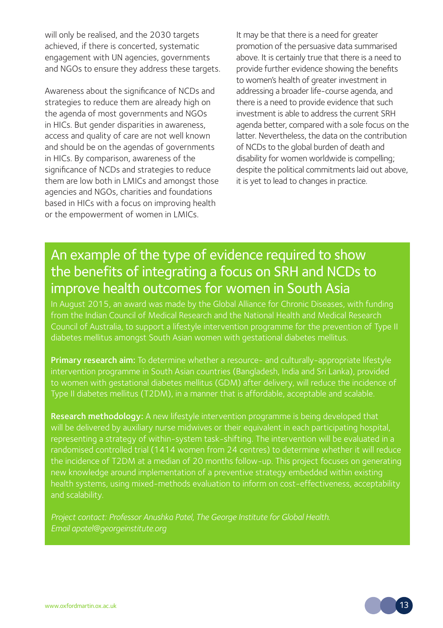will only be realised, and the 2030 targets achieved, if there is concerted, systematic engagement with UN agencies, governments and NGOs to ensure they address these targets.

Awareness about the significance of NCDs and strategies to reduce them are already high on the agenda of most governments and NGOs in HICs. But gender disparities in awareness, access and quality of care are not well known and should be on the agendas of governments in HICs. By comparison, awareness of the significance of NCDs and strategies to reduce them are low both in LMICs and amongst those agencies and NGOs, charities and foundations based in HICs with a focus on improving health or the empowerment of women in LMICs.

It may be that there is a need for greater promotion of the persuasive data summarised above. It is certainly true that there is a need to provide further evidence showing the benefits to women's health of greater investment in addressing a broader life-course agenda, and there is a need to provide evidence that such investment is able to address the current SRH agenda better, compared with a sole focus on the latter. Nevertheless, the data on the contribution of NCDs to the global burden of death and disability for women worldwide is compelling; despite the political commitments laid out above, it is yet to lead to changes in practice.

### An example of the type of evidence required to show the benefits of integrating a focus on SRH and NCDs to improve health outcomes for women in South Asia

In August 2015, an award was made by the Global Alliance for Chronic Diseases, with funding from the Indian Council of Medical Research and the National Health and Medical Research Council of Australia, to support a lifestyle intervention programme for the prevention of Type II

Primary research aim: To determine whether a resource- and culturally-appropriate lifestyle to women with gestational diabetes mellitus (GDM) after delivery, will reduce the incidence of

Research methodology: A new lifestyle intervention programme is being developed that will be delivered by auxiliary nurse midwives or their equivalent in each participating hospital, the incidence of T2DM at a median of 20 months follow-up. This project focuses on generating new knowledge around implementation of a preventive strategy embedded within existing and scalability.

*Project contact: Professor Anushka Patel, The George Institute for Global Health. Email apatel@georgeinstitute.org*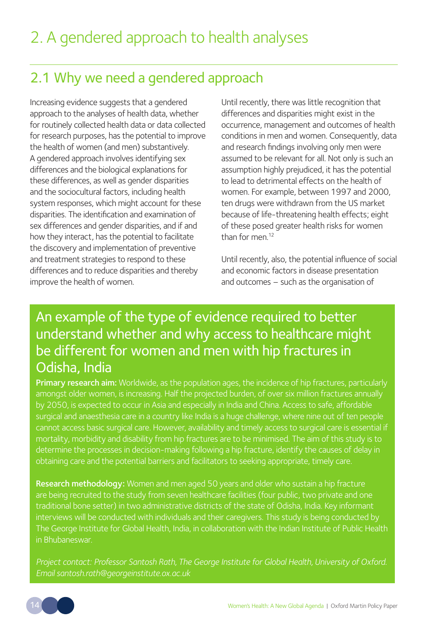### 2.1 Why we need a gendered approach

Increasing evidence suggests that a gendered approach to the analyses of health data, whether for routinely collected health data or data collected for research purposes, has the potential to improve the health of women (and men) substantively. A gendered approach involves identifying sex differences and the biological explanations for these differences, as well as gender disparities and the sociocultural factors, including health system responses, which might account for these disparities. The identification and examination of sex differences and gender disparities, and if and how they interact, has the potential to facilitate the discovery and implementation of preventive and treatment strategies to respond to these differences and to reduce disparities and thereby improve the health of women.

Until recently, there was little recognition that differences and disparities might exist in the occurrence, management and outcomes of health conditions in men and women. Consequently, data and research findings involving only men were assumed to be relevant for all. Not only is such an assumption highly prejudiced, it has the potential to lead to detrimental effects on the health of women. For example, between 1997 and 2000, ten drugs were withdrawn from the US market because of life-threatening health effects; eight of these posed greater health risks for women than for men<sup>12</sup>

Until recently, also, the potential influence of social and economic factors in disease presentation and outcomes – such as the organisation of

### An example of the type of evidence required to better understand whether and why access to healthcare might be different for women and men with hip fractures in Odisha, India

Primary research aim: Worldwide, as the population ages, the incidence of hip fractures, particularly surgical and anaesthesia care in a country like India is a huge challenge, where nine out of ten people mortality, morbidity and disability from hip fractures are to be minimised. The aim of this study is to determine the processes in decision-making following a hip fracture, identify the causes of delay in obtaining care and the potential barriers and facilitators to seeking appropriate, timely care.

Research methodology: Women and men aged 50 years and older who sustain a hip fracture traditional bone setter) in two administrative districts of the state of Odisha, India. Key informant interviews will be conducted with individuals and their caregivers. This study is being conducted by The George Institute for Global Health, India, in collaboration with the Indian Institute of Public Health in Bhubaneswar.

*Project contact: Professor Santosh Rath, The George Institute for Global Health, University of Oxford.*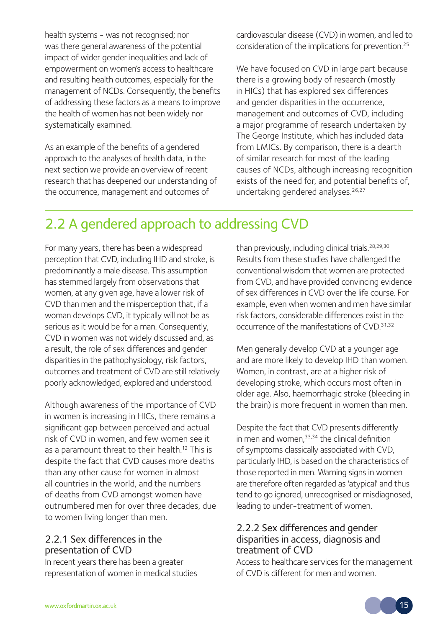health systems - was not recognised; nor was there general awareness of the potential impact of wider gender inequalities and lack of empowerment on women's access to healthcare and resulting health outcomes, especially for the management of NCDs. Consequently, the benefits of addressing these factors as a means to improve the health of women has not been widely nor systematically examined.

As an example of the benefits of a gendered approach to the analyses of health data, in the next section we provide an overview of recent research that has deepened our understanding of the occurrence, management and outcomes of

cardiovascular disease (CVD) in women, and led to consideration of the implications for prevention.25

We have focused on CVD in large part because there is a growing body of research (mostly in HICs) that has explored sex differences and gender disparities in the occurrence, management and outcomes of CVD, including a major programme of research undertaken by The George Institute, which has included data from LMICs. By comparison, there is a dearth of similar research for most of the leading causes of NCDs, although increasing recognition exists of the need for, and potential benefits of, undertaking gendered analyses.<sup>26,27</sup>

### 2.2 A gendered approach to addressing CVD

For many years, there has been a widespread perception that CVD, including IHD and stroke, is predominantly a male disease. This assumption has stemmed largely from observations that women, at any given age, have a lower risk of CVD than men and the misperception that, if a woman develops CVD, it typically will not be as serious as it would be for a man. Consequently, CVD in women was not widely discussed and, as a result, the role of sex differences and gender disparities in the pathophysiology, risk factors, outcomes and treatment of CVD are still relatively poorly acknowledged, explored and understood.

Although awareness of the importance of CVD in women is increasing in HICs, there remains a significant gap between perceived and actual risk of CVD in women, and few women see it as a paramount threat to their health.<sup>12</sup> This is despite the fact that CVD causes more deaths than any other cause for women in almost all countries in the world, and the numbers of deaths from CVD amongst women have outnumbered men for over three decades, due to women living longer than men.

#### 2.2.1 Sex differences in the presentation of CVD

In recent years there has been a greater representation of women in medical studies than previously, including clinical trials.<sup>28,29,30</sup> Results from these studies have challenged the conventional wisdom that women are protected from CVD, and have provided convincing evidence of sex differences in CVD over the life course. For example, even when women and men have similar risk factors, considerable differences exist in the occurrence of the manifestations of CVD. 31,32

Men generally develop CVD at a younger age and are more likely to develop IHD than women. Women, in contrast, are at a higher risk of developing stroke, which occurs most often in older age. Also, haemorrhagic stroke (bleeding in the brain) is more frequent in women than men.

Despite the fact that CVD presents differently in men and women. $33,34$  the clinical definition of symptoms classically associated with CVD, particularly IHD, is based on the characteristics of those reported in men. Warning signs in women are therefore often regarded as 'atypical' and thus tend to go ignored, unrecognised or misdiagnosed, leading to under-treatment of women.

#### 2.2.2 Sex differences and gender disparities in access, diagnosis and treatment of CVD

Access to healthcare services for the management of CVD is different for men and women.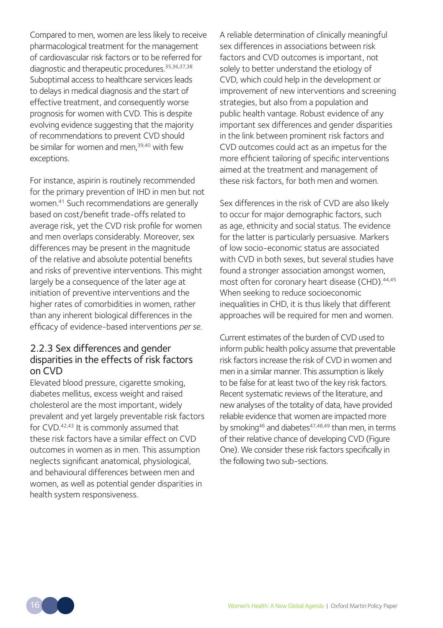Compared to men, women are less likely to receive pharmacological treatment for the management of cardiovascular risk factors or to be referred for diagnostic and therapeutic procedures.<sup>35,36,37,38</sup> Suboptimal access to healthcare services leads to delays in medical diagnosis and the start of effective treatment, and consequently worse prognosis for women with CVD. This is despite evolving evidence suggesting that the majority of recommendations to prevent CVD should be similar for women and men,<sup>39,40</sup> with few exceptions.

For instance, aspirin is routinely recommended for the primary prevention of IHD in men but not women.41 Such recommendations are generally based on cost/benefit trade-offs related to average risk, yet the CVD risk profile for women and men overlaps considerably. Moreover, sex differences may be present in the magnitude of the relative and absolute potential benefits and risks of preventive interventions. This might largely be a consequence of the later age at initiation of preventive interventions and the higher rates of comorbidities in women, rather than any inherent biological differences in the efficacy of evidence-based interventions *per se*.

#### 2.2.3 Sex differences and gender disparities in the effects of risk factors on CVD

Elevated blood pressure, cigarette smoking, diabetes mellitus, excess weight and raised cholesterol are the most important, widely prevalent and yet largely preventable risk factors for CVD.<sup>42,43</sup> It is commonly assumed that these risk factors have a similar effect on CVD outcomes in women as in men. This assumption neglects significant anatomical, physiological, and behavioural differences between men and women, as well as potential gender disparities in health system responsiveness.

A reliable determination of clinically meaningful sex differences in associations between risk factors and CVD outcomes is important, not solely to better understand the etiology of CVD, which could help in the development or improvement of new interventions and screening strategies, but also from a population and public health vantage. Robust evidence of any important sex differences and gender disparities in the link between prominent risk factors and CVD outcomes could act as an impetus for the more efficient tailoring of specific interventions aimed at the treatment and management of these risk factors, for both men and women.

Sex differences in the risk of CVD are also likely to occur for major demographic factors, such as age, ethnicity and social status. The evidence for the latter is particularly persuasive. Markers of low socio-economic status are associated with CVD in both sexes, but several studies have found a stronger association amongst women, most often for coronary heart disease (CHD).<sup>44,45</sup> When seeking to reduce socioeconomic inequalities in CHD, it is thus likely that different approaches will be required for men and women.

Current estimates of the burden of CVD used to inform public health policy assume that preventable risk factors increase the risk of CVD in women and men in a similar manner. This assumption is likely to be false for at least two of the key risk factors. Recent systematic reviews of the literature, and new analyses of the totality of data, have provided reliable evidence that women are impacted more by smoking<sup>46</sup> and diabetes<sup>47,48,49</sup> than men, in terms of their relative chance of developing CVD (Figure One). We consider these risk factors specifically in the following two sub-sections.

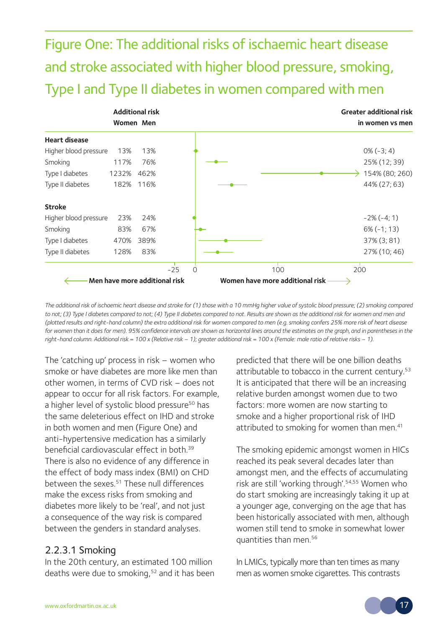Figure One: The additional risks of ischaemic heart disease and stroke associated with higher blood pressure, smoking, Type I and Type II diabetes in women compared with men

|                       | <b>Additional risk</b>        |      |       |          | <b>Greater additional risk</b>  |                 |
|-----------------------|-------------------------------|------|-------|----------|---------------------------------|-----------------|
|                       | Women Men                     |      |       |          |                                 | in women vs men |
| <b>Heart disease</b>  |                               |      |       |          |                                 |                 |
| Higher blood pressure | 13%                           | 13%  |       |          |                                 | $0\% (-3; 4)$   |
| Smoking               | 117%                          | 76%  |       |          |                                 | 25% (12; 39)    |
| Type I diabetes       | 1232%                         | 462% |       |          |                                 | 154% (80; 260)  |
| Type II diabetes      | 182%                          | 116% |       |          |                                 | 44% (27; 63)    |
| <b>Stroke</b>         |                               |      |       |          |                                 |                 |
| Higher blood pressure | 23%                           | 24%  |       |          |                                 | $-2\%(-4;1)$    |
| Smoking               | 83%                           | 67%  |       |          |                                 | $6\% (-1; 13)$  |
| Type I diabetes       | 470%                          | 389% |       |          |                                 | 37% (3; 81)     |
| Type II diabetes      | 128%                          | 83%  |       |          |                                 | 27% (10; 46)    |
|                       |                               |      | $-25$ | $\Omega$ | 100                             | 200             |
|                       | Men have more additional risk |      |       |          | Women have more additional risk |                 |

*The additional risk of ischaemic heart disease and stroke for (1) those with a 10 mmHg higher value of systolic blood pressure; (2) smoking compared*  to not; (3) Type I diabetes compared to not; (4) Type II diabetes compared to not. Results are shown as the additional risk for women and men and *(plotted results and right-hand column) the extra additional risk for women compared to men (e.g. smoking confers 25% more risk of heart disease*  for women than it does for men). 95% confidence intervals are shown as horizontal lines around the estimates on the graph, and in parentheses in the *right-hand column. Additional risk = 100 x (Relative risk – 1); greater additional risk = 100 x (Female: male ratio of relative risks – 1).*

The 'catching up' process in risk – women who smoke or have diabetes are more like men than other women, in terms of CVD risk – does not appear to occur for all risk factors. For example, a higher level of systolic blood pressure<sup>50</sup> has the same deleterious effect on IHD and stroke in both women and men (Figure One) and anti-hypertensive medication has a similarly beneficial cardiovascular effect in both.39 There is also no evidence of any difference in the effect of body mass index (BMI) on CHD between the sexes.<sup>51</sup> These null differences make the excess risks from smoking and diabetes more likely to be 'real', and not just a consequence of the way risk is compared between the genders in standard analyses.

#### 2.2.3.1 Smoking

In the 20th century, an estimated 100 million deaths were due to smoking,<sup>52</sup> and it has been predicted that there will be one billion deaths attributable to tobacco in the current century.<sup>53</sup> It is anticipated that there will be an increasing relative burden amongst women due to two factors: more women are now starting to smoke and a higher proportional risk of IHD attributed to smoking for women than men.<sup>41</sup>

The smoking epidemic amongst women in HICs reached its peak several decades later than amongst men, and the effects of accumulating risk are still 'working through'.54,55 Women who do start smoking are increasingly taking it up at a younger age, converging on the age that has been historically associated with men, although women still tend to smoke in somewhat lower quantities than men.56

In LMICs, typically more than ten times as many men as women smoke cigarettes. This contrasts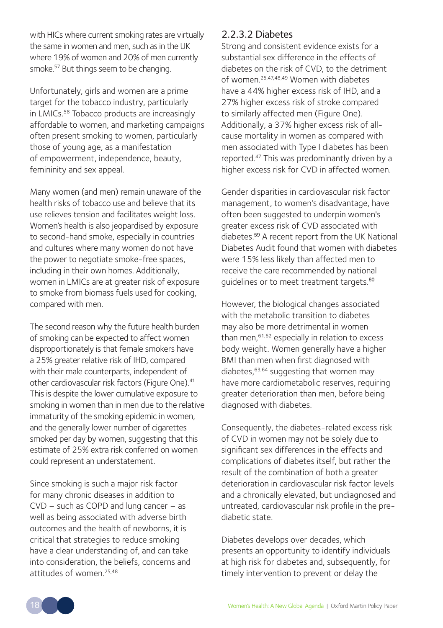with HICs where current smoking rates are virtually the same in women and men, such as in the UK where 19% of women and 20% of men currently smoke.57 But things seem to be changing.

Unfortunately, girls and women are a prime target for the tobacco industry, particularly in LMICs.58 Tobacco products are increasingly affordable to women, and marketing campaigns often present smoking to women, particularly those of young age, as a manifestation of empowerment, independence, beauty, femininity and sex appeal.

Many women (and men) remain unaware of the health risks of tobacco use and believe that its use relieves tension and facilitates weight loss. Women's health is also jeopardised by exposure to second-hand smoke, especially in countries and cultures where many women do not have the power to negotiate smoke-free spaces, including in their own homes. Additionally, women in LMICs are at greater risk of exposure to smoke from biomass fuels used for cooking, compared with men.

The second reason why the future health burden of smoking can be expected to affect women disproportionately is that female smokers have a 25% greater relative risk of IHD, compared with their male counterparts, independent of other cardiovascular risk factors (Figure One).<sup>41</sup> This is despite the lower cumulative exposure to smoking in women than in men due to the relative immaturity of the smoking epidemic in women, and the generally lower number of cigarettes smoked per day by women, suggesting that this estimate of 25% extra risk conferred on women could represent an understatement.

Since smoking is such a major risk factor for many chronic diseases in addition to CVD – such as COPD and lung cancer – as well as being associated with adverse birth outcomes and the health of newborns, it is critical that strategies to reduce smoking have a clear understanding of, and can take into consideration, the beliefs, concerns and attitudes of women.25,48

#### 2.2.3.2 Diabetes

Strong and consistent evidence exists for a substantial sex difference in the effects of diabetes on the risk of CVD, to the detriment of women.25,47,48,49 Women with diabetes have a 44% higher excess risk of IHD, and a 27% higher excess risk of stroke compared to similarly affected men (Figure One). Additionally, a 37% higher excess risk of allcause mortality in women as compared with men associated with Type I diabetes has been reported.47 This was predominantly driven by a higher excess risk for CVD in affected women.

Gender disparities in cardiovascular risk factor management, to women's disadvantage, have often been suggested to underpin women's greater excess risk of CVD associated with diabetes.<sup>59</sup> A recent report from the UK National Diabetes Audit found that women with diabetes were 15% less likely than affected men to receive the care recommended by national guidelines or to meet treatment targets.<sup>60</sup>

However, the biological changes associated with the metabolic transition to diabetes may also be more detrimental in women than men,61,62 especially in relation to excess body weight. Women generally have a higher BMI than men when first diagnosed with diabetes, $63,64$  suggesting that women may have more cardiometabolic reserves, requiring greater deterioration than men, before being diagnosed with diabetes.

Consequently, the diabetes-related excess risk of CVD in women may not be solely due to significant sex differences in the effects and complications of diabetes itself, but rather the result of the combination of both a greater deterioration in cardiovascular risk factor levels and a chronically elevated, but undiagnosed and untreated, cardiovascular risk profile in the prediabetic state.

Diabetes develops over decades, which presents an opportunity to identify individuals at high risk for diabetes and, subsequently, for timely intervention to prevent or delay the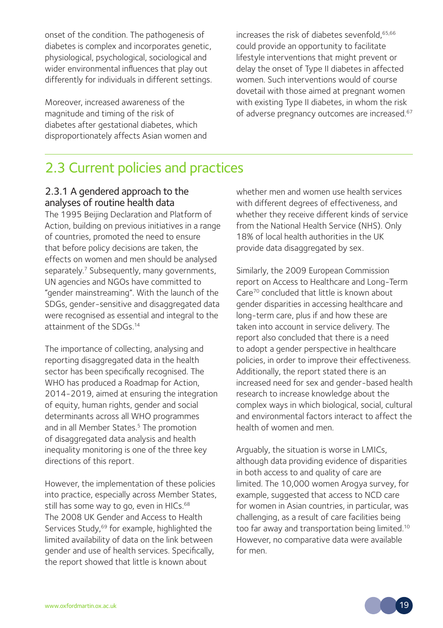onset of the condition. The pathogenesis of diabetes is complex and incorporates genetic, physiological, psychological, sociological and wider environmental influences that play out differently for individuals in different settings.

Moreover, increased awareness of the magnitude and timing of the risk of diabetes after gestational diabetes, which disproportionately affects Asian women and increases the risk of diabetes sevenfold,65,66 could provide an opportunity to facilitate lifestyle interventions that might prevent or delay the onset of Type II diabetes in affected women. Such interventions would of course dovetail with those aimed at pregnant women with existing Type II diabetes, in whom the risk of adverse pregnancy outcomes are increased.<sup>67</sup>

### 2.3 Current policies and practices

#### 2.3.1 A gendered approach to the analyses of routine health data

The 1995 Beijing Declaration and Platform of Action, building on previous initiatives in a range of countries, promoted the need to ensure that before policy decisions are taken, the effects on women and men should be analysed separately.<sup>7</sup> Subsequently, many governments, UN agencies and NGOs have committed to "gender mainstreaming". With the launch of the SDGs, gender-sensitive and disaggregated data were recognised as essential and integral to the attainment of the SDGs<sup>14</sup>

The importance of collecting, analysing and reporting disaggregated data in the health sector has been specifically recognised. The WHO has produced a Roadmap for Action, 2014-2019, aimed at ensuring the integration of equity, human rights, gender and social determinants across all WHO programmes and in all Member States.<sup>5</sup> The promotion of disaggregated data analysis and health inequality monitoring is one of the three key directions of this report.

However, the implementation of these policies into practice, especially across Member States, still has some way to go, even in HICs.<sup>68</sup> The 2008 UK Gender and Access to Health Services Study,<sup>69</sup> for example, highlighted the limited availability of data on the link between gender and use of health services. Specifically, the report showed that little is known about

whether men and women use health services with different degrees of effectiveness, and whether they receive different kinds of service from the National Health Service (NHS). Only 18% of local health authorities in the UK provide data disaggregated by sex.

Similarly, the 2009 European Commission report on Access to Healthcare and Long-Term Care70 concluded that little is known about gender disparities in accessing healthcare and long-term care, plus if and how these are taken into account in service delivery. The report also concluded that there is a need to adopt a gender perspective in healthcare policies, in order to improve their effectiveness. Additionally, the report stated there is an increased need for sex and gender-based health research to increase knowledge about the complex ways in which biological, social, cultural and environmental factors interact to affect the health of women and men.

Arguably, the situation is worse in LMICs, although data providing evidence of disparities in both access to and quality of care are limited. The 10,000 women Arogya survey, for example, suggested that access to NCD care for women in Asian countries, in particular, was challenging, as a result of care facilities being too far away and transportation being limited.<sup>10</sup> However, no comparative data were available for men.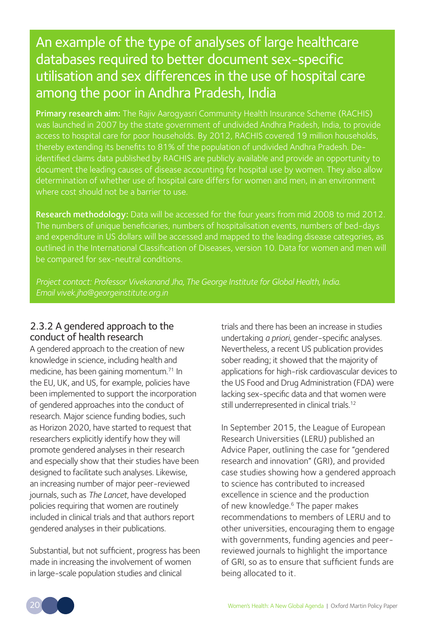### An example of the type of analyses of large healthcare databases required to better document sex-specific utilisation and sex differences in the use of hospital care among the poor in Andhra Pradesh, India

Primary research aim: The Rajiv Aarogyasri Community Health Insurance Scheme (RACHIS) access to hospital care for poor households. By 2012, RACHIS covered 19 million households, thereby extending its benefits to 81% of the population of undivided Andhra Pradesh. Deidentified claims data published by RACHIS are publicly available and provide an opportunity to document the leading causes of disease accounting for hospital use by women. They also allow determination of whether use of hospital care differs for women and men, in an environment where cost should not be a barrier to use.

Research methodology: Data will be accessed for the four years from mid 2008 to mid 2012. and expenditure in US dollars will be accessed and mapped to the leading disease categories, as outlined in the International Classification of Diseases, version 10. Data for women and men will be compared for sex-neutral conditions.

*Project contact: Professor Vivekanand Jha, The George Institute for Global Health, India.*

#### 2.3.2 A gendered approach to the conduct of health research

A gendered approach to the creation of new knowledge in science, including health and medicine, has been gaining momentum.<sup>71</sup> In the EU, UK, and US, for example, policies have been implemented to support the incorporation of gendered approaches into the conduct of research. Major science funding bodies, such as Horizon 2020, have started to request that researchers explicitly identify how they will promote gendered analyses in their research and especially show that their studies have been designed to facilitate such analyses. Likewise, an increasing number of major peer-reviewed journals, such as *The Lancet*, have developed policies requiring that women are routinely included in clinical trials and that authors report gendered analyses in their publications.

Substantial, but not sufficient, progress has been made in increasing the involvement of women in large-scale population studies and clinical

trials and there has been an increase in studies undertaking *a priori*, gender-specific analyses. Nevertheless, a recent US publication provides sober reading; it showed that the majority of applications for high-risk cardiovascular devices to the US Food and Drug Administration (FDA) were lacking sex-specific data and that women were still underrepresented in clinical trials.<sup>12</sup>

In September 2015, the League of European Research Universities (LERU) published an Advice Paper, outlining the case for "gendered research and innovation" (GRI), and provided case studies showing how a gendered approach to science has contributed to increased excellence in science and the production of new knowledge.<sup>6</sup> The paper makes recommendations to members of LERU and to other universities, encouraging them to engage with governments, funding agencies and peerreviewed journals to highlight the importance of GRI, so as to ensure that sufficient funds are being allocated to it.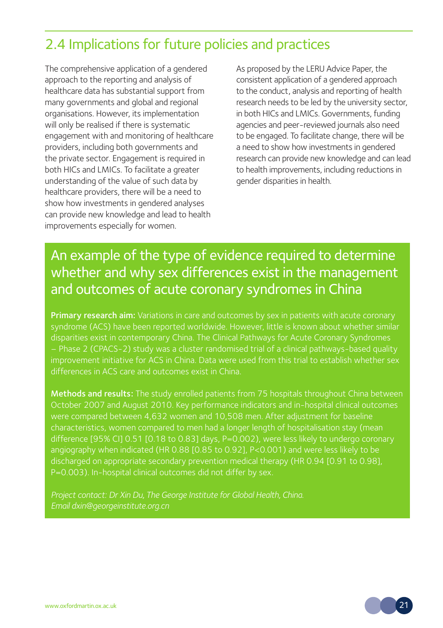### 2.4 Implications for future policies and practices

The comprehensive application of a gendered approach to the reporting and analysis of healthcare data has substantial support from many governments and global and regional organisations. However, its implementation will only be realised if there is systematic engagement with and monitoring of healthcare providers, including both governments and the private sector. Engagement is required in both HICs and LMICs. To facilitate a greater understanding of the value of such data by healthcare providers, there will be a need to show how investments in gendered analyses can provide new knowledge and lead to health improvements especially for women.

As proposed by the LERU Advice Paper, the consistent application of a gendered approach to the conduct, analysis and reporting of health research needs to be led by the university sector, in both HICs and LMICs. Governments, funding agencies and peer-reviewed journals also need to be engaged. To facilitate change, there will be a need to show how investments in gendered research can provide new knowledge and can lead to health improvements, including reductions in gender disparities in health.

### An example of the type of evidence required to determine whether and why sex differences exist in the management and outcomes of acute coronary syndromes in China

Primary research aim: Variations in care and outcomes by sex in patients with acute coronary syndrome (ACS) have been reported worldwide. However, little is known about whether similar disparities exist in contemporary China. The Clinical Pathways for Acute Coronary Syndromes – Phase 2 (CPACS-2) study was a cluster randomised trial of a clinical pathways-based quality improvement initiative for ACS in China. Data were used from this trial to establish whether sex differences in ACS care and outcomes exist in China.

Methods and results: The study enrolled patients from 75 hospitals throughout China between October 2007 and August 2010. Key performance indicators and in-hospital clinical outcomes were compared between 4,632 women and 10,508 men. After adjustment for baseline angiography when indicated (HR 0.88 [0.85 to 0.92], P<0.001) and were less likely to be discharged on appropriate secondary prevention medical therapy (HR 0.94 [0.91 to 0.98],

*Email dxin@georgeinstitute.org.cn*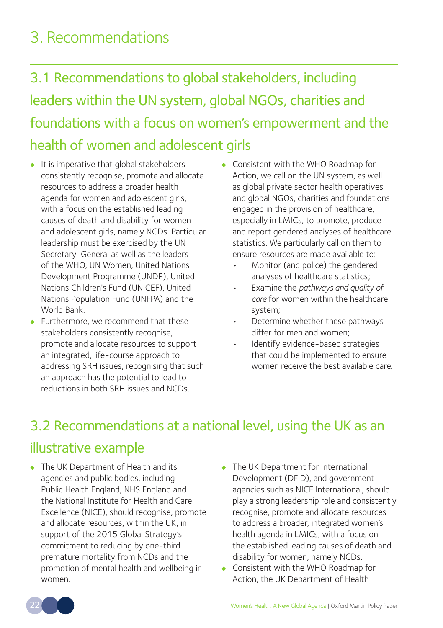# 3. Recommendations

- 3.1 Recommendations to global stakeholders, including leaders within the UN system, global NGOs, charities and foundations with a focus on women's empowerment and the health of women and adolescent girls
- It is imperative that global stakeholders consistently recognise, promote and allocate resources to address a broader health agenda for women and adolescent girls, with a focus on the established leading causes of death and disability for women and adolescent girls, namely NCDs. Particular leadership must be exercised by the UN Secretary-General as well as the leaders of the WHO, UN Women, United Nations Development Programme (UNDP), United Nations Children's Fund (UNICEF), United Nations Population Fund (UNFPA) and the World Bank.
- Furthermore, we recommend that these stakeholders consistently recognise, promote and allocate resources to support an integrated, life-course approach to addressing SRH issues, recognising that such an approach has the potential to lead to reductions in both SRH issues and NCDs.
- Consistent with the WHO Roadmap for Action, we call on the UN system, as well as global private sector health operatives and global NGOs, charities and foundations engaged in the provision of healthcare, especially in LMICs, to promote, produce and report gendered analyses of healthcare statistics. We particularly call on them to ensure resources are made available to:
	- Monitor (and police) the gendered analyses of healthcare statistics;
	- Examine the *pathways and quality of care* for women within the healthcare system;
	- Determine whether these pathways differ for men and women;
	- Identify evidence-based strategies that could be implemented to ensure women receive the best available care.

### 3.2 Recommendations at a national level, using the UK as an

### illustrative example

- The UK Department of Health and its agencies and public bodies, including Public Health England, NHS England and the National Institute for Health and Care Excellence (NICE), should recognise, promote and allocate resources, within the UK, in support of the 2015 Global Strategy's commitment to reducing by one-third premature mortality from NCDs and the promotion of mental health and wellbeing in women.
- The UK Department for International Development (DFID), and government agencies such as NICE International, should play a strong leadership role and consistently recognise, promote and allocate resources to address a broader, integrated women's health agenda in LMICs, with a focus on the established leading causes of death and disability for women, namely NCDs.
- Consistent with the WHO Roadmap for Action, the UK Department of Health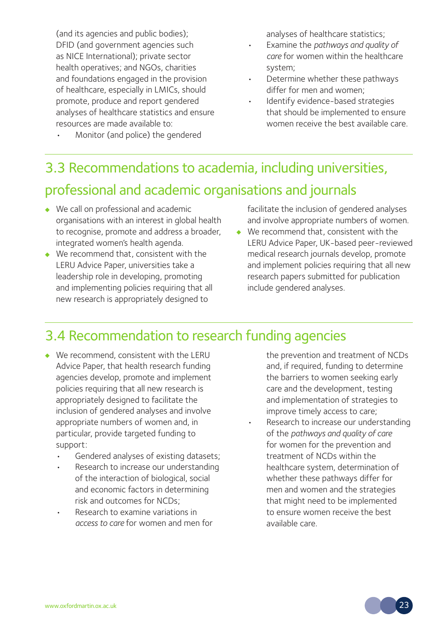(and its agencies and public bodies); DFID (and government agencies such as NICE International); private sector health operatives; and NGOs, charities and foundations engaged in the provision of healthcare, especially in LMICs, should promote, produce and report gendered analyses of healthcare statistics and ensure resources are made available to:

• Monitor (and police) the gendered

analyses of healthcare statistics;

- Examine the *pathways and quality of care* for women within the healthcare system;
- Determine whether these pathways differ for men and women;
- Identify evidence-based strategies that should be implemented to ensure women receive the best available care.

# 3.3 Recommendations to academia, including universities, professional and academic organisations and journals

- We call on professional and academic organisations with an interest in global health to recognise, promote and address a broader, integrated women's health agenda.
- We recommend that, consistent with the LERU Advice Paper, universities take a leadership role in developing, promoting and implementing policies requiring that all new research is appropriately designed to

facilitate the inclusion of gendered analyses and involve appropriate numbers of women.

• We recommend that, consistent with the LERU Advice Paper, UK-based peer-reviewed medical research journals develop, promote and implement policies requiring that all new research papers submitted for publication include gendered analyses.

### 3.4 Recommendation to research funding agencies

- We recommend, consistent with the LERU Advice Paper, that health research funding agencies develop, promote and implement policies requiring that all new research is appropriately designed to facilitate the inclusion of gendered analyses and involve appropriate numbers of women and, in particular, provide targeted funding to support:
	- Gendered analyses of existing datasets;
	- Research to increase our understanding of the interaction of biological, social and economic factors in determining risk and outcomes for NCDs;
	- Research to examine variations in *access to care* for women and men for

the prevention and treatment of NCDs and, if required, funding to determine the barriers to women seeking early care and the development, testing and implementation of strategies to improve timely access to care;

Research to increase our understanding of the *pathways and quality of care* for women for the prevention and treatment of NCDs within the healthcare system, determination of whether these pathways differ for men and women and the strategies that might need to be implemented to ensure women receive the best available care.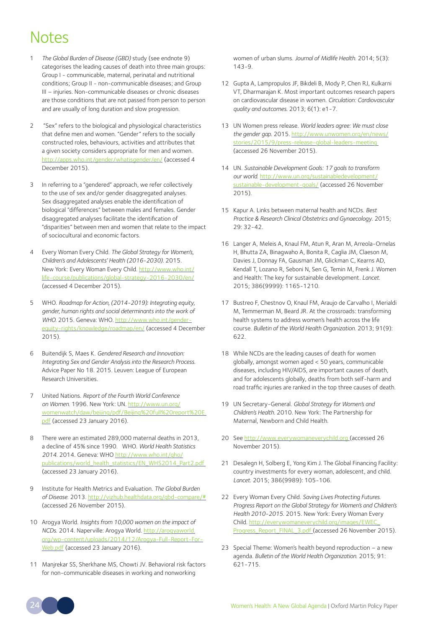## Notes

- 1 *The Global Burden of Disease (GBD)* study (see endnote 9) categorises the leading causes of death into three main groups: Group I - communicable, maternal, perinatal and nutritional conditions; Group II - non-communicable diseases; and Group III – injuries. Non-communicable diseases or chronic diseases are those conditions that are not passed from person to person and are usually of long duration and slow progression.
- 2 "Sex" refers to the biological and physiological characteristics that define men and women. "Gender" refers to the socially constructed roles, behaviours, activities and attributes that a given society considers appropriate for men and women. <http://apps.who.int/gender/whatisgender/en/> (accessed 4 December 2015).
- 3 In referring to a "gendered" approach, we refer collectively to the use of sex and/or gender disaggregated analyses. Sex disaggregated analyses enable the identification of biological "differences" between males and females. Gender disaggregated analyses facilitate the identification of "disparities" between men and women that relate to the impact of sociocultural and economic factors.
- 4 Every Woman Every Child. *The Global Strategy for Women's, Children's and Adolescents' Health (2016-2030).* 2015. New York: Every Woman Every Child. [http://www.who.int/](http://www.who.int/life-course/publications/global-strategy-2016-2030/en/) [life-course/publications/global-strategy-2016-2030/en/](http://www.who.int/life-course/publications/global-strategy-2016-2030/en/) (accessed 4 December 2015).
- 5 WHO. *Roadmap for Action, (2014-2019): Integrating equity, gender, human rights and social determinants into the work of WHO.* 2015. Geneva: WHO. [http://www.who.int/gender](http://www.who.int/gender-equity-rights/knowledge/roadmap/en/)[equity-rights/knowledge/roadmap/en/](http://www.who.int/gender-equity-rights/knowledge/roadmap/en/) (accessed 4 December 2015).
- 6 Buitendijk S, Maes K. *Gendered Research and Innovation: Integrating Sex and Gender Analysis into the Research Process.*  Advice Paper No 18. 2015. Leuven: League of European Research Universities.
- 7 United Nations. *Report of the Fourth World Conference on Women*. 1996. New York: UN. [http://www.un.org/](http://www.un.org/womenwatch/daw/beijing/pdf/Beijing%20full%20report%20E.pdf) [womenwatch/daw/beijing/pdf/Beijing%20full%20report%20E.](http://www.un.org/womenwatch/daw/beijing/pdf/Beijing%20full%20report%20E.pdf) [pdf](http://www.un.org/womenwatch/daw/beijing/pdf/Beijing%20full%20report%20E.pdf) (accessed 23 January 2016).
- 8 There were an estimated 289,000 maternal deaths in 2013, a decline of 45% since 1990. WHO. *World Health Statistics 2014*. 2014. Geneva: WHO [http://www.who.int/gho/](http://www.who.int/gho/publications/world_health_statistics/EN_WHS2014_Part2.pdf) [publications/world\\_health\\_statistics/EN\\_WHS2014\\_Part2.pdf](http://www.who.int/gho/publications/world_health_statistics/EN_WHS2014_Part2.pdf)  (accessed 23 January 2016).
- 9 Institute for Health Metrics and Evaluation. *The Global Burden of Disease*. 2013.<http://vizhub.healthdata.org/gbd-compare/#> (accessed 26 November 2015).
- 10 Arogya World. *Insights from 10,000 women on the impact of NCDs*. 2014. Naperville: Arogya World. [http://arogyaworld.](http://arogyaworld.org/wp-content/uploads/2014/12/Arogya-Full-Report-For-Web.pdf) [org/wp-content/uploads/2014/12/Arogya-Full-Report-For-](http://arogyaworld.org/wp-content/uploads/2014/12/Arogya-Full-Report-For-Web.pdf)[Web.pdf](http://arogyaworld.org/wp-content/uploads/2014/12/Arogya-Full-Report-For-Web.pdf) (accessed 23 January 2016).
- 11 Manjrekar SS, Sherkhane MS, Chowti JV. Behavioral risk factors for non-communicable diseases in working and nonworking

women of urban slums. *Journal of Midlife Health*. 2014; 5(3): 143-9.

- 12 Gupta A, Lampropulos JF, Bikdeli B, Mody P, Chen RJ, Kulkarni VT, Dharmarajan K. Most important outcomes research papers on cardiovascular disease in women. *Circulation: Cardiovascular quality and outcomes*. 2013; 6(1): e1-7.
- 13 UN Women press release. *World leaders agree: We must close the gender gap*. 2015. [http://www.unwomen.org/en/news/](http://www.unwomen.org/en/news/stories/2015/9/press-release-global-leaders-meeting) [stories/2015/9/press-release-global-leaders-meeting](http://www.unwomen.org/en/news/stories/2015/9/press-release-global-leaders-meeting) (accessed 26 November 2015).
- 14 UN. *Sustainable Development Goals: 17 goals to transform our world*. [http://www.un.org/sustainabledevelopment/](http://www.un.org/sustainabledevelopment/sustainable-development-goals/) [sustainable-development-goals/](http://www.un.org/sustainabledevelopment/sustainable-development-goals/) (accessed 26 November 2015).
- 15 Kapur A. Links between maternal health and NCDs. *Best Practice & Research Clinical Obstetrics and Gynaecology*. 2015; 29: 32-42.
- 16 Langer A, Meleis A, Knaul FM, Atun R, Aran M, Arreola-Ornelas H, Bhutta ZA, Binagwaho A, Bonita R, Caglia JM, Claeson M, Davies J, Donnay FA, Gausman JM, Glickman C, Kearns AD, Kendall T, Lozano R, Seboni N, Sen G, Temin M, Frenk J. Women and Health: The key for sustainable development. *Lancet*. 2015; 386(9999): 1165-1210.
- 17 Bustreo F, Chestnov O, Knaul FM, Araujo de Carvalho I, Merialdi M, Temmerman M, Beard JR. At the crossroads: transforming health systems to address women's health across the life course. *Bulletin of the World Health Organization*. 2013; 91(9): 622.
- 18 While NCDs are the leading causes of death for women globally, amongst women aged < 50 years, communicable diseases, including HIV/AIDS, are important causes of death, and for adolescents globally, deaths from both self-harm and road traffic injuries are ranked in the top three causes of death.
- 19 UN Secretary-General. *Global Strategy for Women's and Children's Health*. 2010. New York: The Partnership for Maternal, Newborn and Child Health.
- 20 See <http://www.everywomaneverychild.org>(accessed 26 November 2015).
- 21 Desalegn H, Solberg E, Yong Kim J. The Global Financing Facility: country investments for every woman, adolescent, and child. *Lancet*. 2015; 386(9989): 105-106.
- 22 Every Woman Every Child. *Saving Lives Protecting Futures. Progress Report on the Global Strategy for Women's and Children's Health 2010-2015*. 2015. New York: Every Woman Every Child. [http://everywomaneverychild.org/images/EWEC\\_](http://everywomaneverychild.org/images/EWEC_Progress_Report_FINAL_3.pdf) [Progress\\_Report\\_FINAL\\_3.pdf](http://everywomaneverychild.org/images/EWEC_Progress_Report_FINAL_3.pdf) (accessed 26 November 2015).
- 23 Special Theme: Women's health beyond reproduction a new agenda. *Bulletin of the World Health Organization*. 2015; 91:  $621 - 715$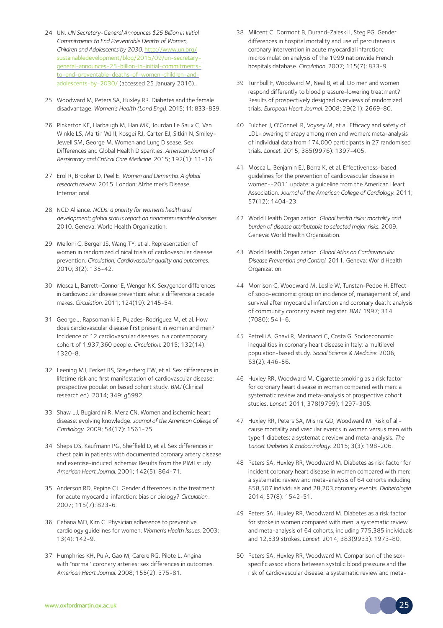- 24 UN. *UN Secretary-General Announces \$25 Billion in Initial Commitments to End Preventable Deaths of Women, Children and Adolescents by 2030*. [http://www.un.org/](http://www.un.org/sustainabledevelopment/blog/2015/09/un-secretary-general-announces-25-billion-in-initial-commitments-to-end-preventable-deaths-of-women-children-and-adolescents-by-2030/) [sustainabledevelopment/blog/2015/09/un-secretary](http://www.un.org/sustainabledevelopment/blog/2015/09/un-secretary-general-announces-25-billion-in-initial-commitments-to-end-preventable-deaths-of-women-children-and-adolescents-by-2030/)[general-announces-25-billion-in-initial-commitments](http://www.un.org/sustainabledevelopment/blog/2015/09/un-secretary-general-announces-25-billion-in-initial-commitments-to-end-preventable-deaths-of-women-children-and-adolescents-by-2030/)[to-end-preventable-deaths-of-women-children-and](http://www.un.org/sustainabledevelopment/blog/2015/09/un-secretary-general-announces-25-billion-in-initial-commitments-to-end-preventable-deaths-of-women-children-and-adolescents-by-2030/)[adolescents-by-2030/](http://www.un.org/sustainabledevelopment/blog/2015/09/un-secretary-general-announces-25-billion-in-initial-commitments-to-end-preventable-deaths-of-women-children-and-adolescents-by-2030/) (accessed 25 January 2016).
- 25 Woodward M, Peters SA, Huxley RR. Diabetes and the female disadvantage. *Women's Health (Lond Engl)*. 2015; 11: 833-839.
- 26 [Pinkerton KE](http://www.ncbi.nlm.nih.gov/pubmed/?term=Pinkerton KE%5BAuthor%5D&cauthor=true&cauthor_uid=25945507), [Harbaugh M,](http://www.ncbi.nlm.nih.gov/pubmed/?term=Harbaugh M%5BAuthor%5D&cauthor=true&cauthor_uid=25945507) [Han MK](http://www.ncbi.nlm.nih.gov/pubmed/?term=Han MK%5BAuthor%5D&cauthor=true&cauthor_uid=25945507), [Jourdan Le Saux C,](http://www.ncbi.nlm.nih.gov/pubmed/?term=Jourdan Le Saux C%5BAuthor%5D&cauthor=true&cauthor_uid=25945507) [Van](http://www.ncbi.nlm.nih.gov/pubmed/?term=Van Winkle LS%5BAuthor%5D&cauthor=true&cauthor_uid=25945507)  [Winkle LS,](http://www.ncbi.nlm.nih.gov/pubmed/?term=Van Winkle LS%5BAuthor%5D&cauthor=true&cauthor_uid=25945507) [Martin WJ II](http://www.ncbi.nlm.nih.gov/pubmed/?term=Martin WJ 2nd%5BAuthor%5D&cauthor=true&cauthor_uid=25945507), [Kosgei RJ,](http://www.ncbi.nlm.nih.gov/pubmed/?term=Kosgei RJ%5BAuthor%5D&cauthor=true&cauthor_uid=25945507) [Carter EJ](http://www.ncbi.nlm.nih.gov/pubmed/?term=Carter EJ%5BAuthor%5D&cauthor=true&cauthor_uid=25945507), [Sitkin N,](http://www.ncbi.nlm.nih.gov/pubmed/?term=Sitkin N%5BAuthor%5D&cauthor=true&cauthor_uid=25945507) [Smiley-](http://www.ncbi.nlm.nih.gov/pubmed/?term=Smiley-Jewell SM%5BAuthor%5D&cauthor=true&cauthor_uid=25945507)[Jewell SM](http://www.ncbi.nlm.nih.gov/pubmed/?term=Smiley-Jewell SM%5BAuthor%5D&cauthor=true&cauthor_uid=25945507), [George M.](http://www.ncbi.nlm.nih.gov/pubmed/?term=George M%5BAuthor%5D&cauthor=true&cauthor_uid=25945507) Women and Lung Disease. Sex Differences and Global Health Disparities. *[American Journal of](http://www.ncbi.nlm.nih.gov/pubmed/25945507)  [Respiratory and Critical Care Medicine](http://www.ncbi.nlm.nih.gov/pubmed/25945507)*. 2015; 192(1): 11-16.
- 27 Erol R, Brooker D, Peel E. *Women and Dementia. A global research review*. 2015. London: Alzheimer's Disease International.
- 28 NCD Alliance. *NCDs: a priority for women's health and development; global status report on noncommunicable diseases*. 2010. Geneva: World Health Organization.
- 29 Melloni C, Berger JS, Wang TY, et al. Representation of women in randomized clinical trials of cardiovascular disease prevention. *Circulation: Cardiovascular quality and outcomes*. 2010; 3(2): 135-42.
- 30 Mosca L, Barrett-Connor E, Wenger NK. Sex/gender differences in cardiovascular disease prevention: what a difference a decade makes. *Circulation*. 2011; 124(19): 2145-54.
- 31 George J, Rapsomaniki E, Pujades-Rodriguez M, et al. How does cardiovascular disease first present in women and men? Incidence of 12 cardiovascular diseases in a contemporary cohort of 1,937,360 people. *Circulation*. 2015; 132(14): 1320-8.
- 32 Leening MJ, Ferket BS, Steyerberg EW, et al. Sex differences in lifetime risk and first manifestation of cardiovascular disease: prospective population based cohort study. *BMJ* (Clinical research ed). 2014; 349: g5992.
- 33 Shaw LJ, Bugiardini R, Merz CN. Women and ischemic heart disease: evolving knowledge. *Journal of the American College of Cardiology*. 2009; 54(17): 1561-75.
- 34 Sheps DS, Kaufmann PG, Sheffield D, et al. Sex differences in chest pain in patients with documented coronary artery disease and exercise-induced ischemia: Results from the PIMI study. *American Heart Journal*. 2001; 142(5): 864-71.
- 35 Anderson RD, Pepine CJ. Gender differences in the treatment for acute myocardial infarction: bias or biology? *Circulation*. 2007; 115(7): 823-6.
- 36 Cabana MD, Kim C. Physician adherence to preventive cardiology guidelines for women. *Women's Health Issues*. 2003; 13(4): 142-9.
- 37 Humphries KH, Pu A, Gao M, Carere RG, Pilote L. Angina with "normal" coronary arteries: sex differences in outcomes. *American Heart Journal*. 2008; 155(2): 375-81.
- 38 Milcent C, Dormont B, Durand-Zaleski I, Steg PG. Gender differences in hospital mortality and use of percutaneous coronary intervention in acute myocardial infarction: microsimulation analysis of the 1999 nationwide French hospitals database. *Circulation*. 2007; 115(7): 833-9.
- 39 Turnbull F, Woodward M, Neal B, et al. Do men and women respond differently to blood pressure-lowering treatment? Results of prospectively designed overviews of randomized trials. *European Heart Journal*. 2008; 29(21): 2669-80.
- 40 Fulcher J, O'Connell R, Voysey M, et al. Efficacy and safety of LDL-lowering therapy among men and women: meta-analysis of individual data from 174,000 participants in 27 randomised trials. *Lancet*. 2015; 385(9976): 1397-405.
- 41 Mosca L, Benjamin EJ, Berra K, et al. Effectiveness-based guidelines for the prevention of cardiovascular disease in women--2011 update: a guideline from the American Heart Association. *Journal of the American College of Cardiology*. 2011; 57(12): 1404-23.
- 42 World Health Organization. *Global health risks: mortality and burden of disease attributable to selected major risks*. 2009. Geneva: World Health Organization.
- 43 World Health Organization. *Global Atlas on Cardiovascular Disease Prevention and Control*. 2011. Geneva: World Health Organization.
- 44 Morrison C, Woodward M, Leslie W, Tunstan-Pedoe H. Effect of socio-economic group on incidence of, management of, and survival after myocardial infarction and coronary death: analysis of community coronary event register. *BMJ*. 1997; 314 (7080): 541-6.
- 45 Petrelli A, Gnavi R, Marinacci C, Costa G. Socioeconomic inequalities in coronary heart disease in Italy: a multilevel population-based study. *Social Science & Medicine*. 2006; 63(2): 446-56.
- 46 Huxley RR, Woodward M. Cigarette smoking as a risk factor for coronary heart disease in women compared with men: a systematic review and meta-analysis of prospective cohort studies. *Lancet*. 2011; 378(9799): 1297-305.
- 47 Huxley RR, Peters SA, Mishra GD, Woodward M. Risk of allcause mortality and vascular events in women versus men with type 1 diabetes: a systematic review and meta-analysis. *The Lancet Diabetes & Endocrinology*. 2015; 3(3): 198-206.
- 48 Peters SA, Huxley RR, Woodward M. Diabetes as risk factor for incident coronary heart disease in women compared with men: a systematic review and meta-analysis of 64 cohorts including 858,507 individuals and 28,203 coronary events. *Diabetologia*. 2014; 57(8): 1542-51.
- 49 Peters SA, Huxley RR, Woodward M. Diabetes as a risk factor for stroke in women compared with men: a systematic review and meta-analysis of 64 cohorts, including 775,385 individuals and 12,539 strokes. *Lancet*. 2014; 383(9933): 1973-80.
- 50 Peters SA, Huxley RR, Woodward M. Comparison of the sexspecific associations between systolic blood pressure and the risk of cardiovascular disease: a systematic review and meta-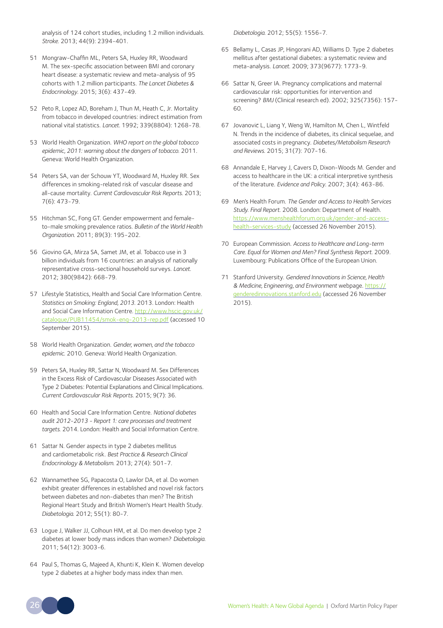analysis of 124 cohort studies, including 1.2 million individuals. *Stroke*. 2013; 44(9): 2394-401.

- 51 Mongraw-Chaffin ML, Peters SA, Huxley RR, Woodward M. The sex-specific association between BMI and coronary heart disease: a systematic review and meta-analysis of 95 cohorts with 1.2 million participants. *The Lancet Diabetes & Endocrinology*. 2015; 3(6): 437-49.
- 52 Peto R, Lopez AD, Boreham J, Thun M, Heath C, Jr. Mortality from tobacco in developed countries: indirect estimation from national vital statistics. *Lancet*. 1992; 339(8804): 1268-78.
- 53 World Health Organization. *WHO report on the global tobacco epidemic, 2011: warning about the dangers of tobacco*. 2011. Geneva: World Health Organization.
- 54 Peters SA, van der Schouw YT, Woodward M, Huxley RR. Sex differences in smoking-related risk of vascular disease and all-cause mortality. *Current Cardiovascular Risk Reports*. 2013; 7(6): 473-79.
- 55 Hitchman SC, Fong GT. Gender empowerment and femaleto-male smoking prevalence ratios. *Bulletin of the World Health Organization*. 2011; 89(3): 195-202.
- 56 Giovino GA, Mirza SA, Samet JM, et al. Tobacco use in 3 billion individuals from 16 countries: an analysis of nationally representative cross-sectional household surveys. *Lancet*. 2012; 380(9842): 668-79.
- 57 Lifestyle Statistics, Health and Social Care Information Centre. *Statistics on Smoking: England, 2013*. 2013. London: Health and Social Care Information Centre. [http://www.hscic.gov.uk/](http://www.hscic.gov.uk/catalogue/PUB11454/smok-eng-2013-rep.pdf) [catalogue/PUB11454/smok-eng-2013-rep.pdf](http://www.hscic.gov.uk/catalogue/PUB11454/smok-eng-2013-rep.pdf) (accessed 10 September 2015).
- 58 World Health Organization. *Gender, women, and the tobacco epidemic*. 2010. Geneva: World Health Organization.
- 59 Peters SA, Huxley RR, Sattar N, Woodward M. Sex Differences in the Excess Risk of Cardiovascular Diseases Associated with Type 2 Diabetes: Potential Explanations and Clinical Implications. *Current Cardiovascular Risk Reports*. 2015; 9(7): 36.
- 60 Health and Social Care Information Centre. *National diabetes audit 2012-2013 - Report 1: care processes and treatment targets*. 2014. London: Health and Social Information Centre.
- 61 Sattar N. Gender aspects in type 2 diabetes mellitus and cardiometabolic risk. *Best Practice & Research Clinical Endocrinology & Metabolism*. 2013; 27(4): 501-7.
- 62 Wannamethee SG, Papacosta O, Lawlor DA, et al. Do women exhibit greater differences in established and novel risk factors between diabetes and non-diabetes than men? The British Regional Heart Study and British Women's Heart Health Study. *Diabetologia*. 2012; 55(1): 80-7.
- 63 Logue J, Walker JJ, Colhoun HM, et al. Do men develop type 2 diabetes at lower body mass indices than women? *Diabetologia*. 2011; 54(12): 3003-6.
- 64 Paul S, Thomas G, Majeed A, Khunti K, Klein K. Women develop type 2 diabetes at a higher body mass index than men.

*Diabetologia*. 2012; 55(5): 1556-7.

- 65 Bellamy L, Casas JP, Hingorani AD, Williams D. Type 2 diabetes mellitus after gestational diabetes: a systematic review and meta-analysis. *Lancet*. 2009; 373(9677): 1773-9.
- 66 Sattar N, Greer IA. Pregnancy complications and maternal cardiovascular risk: opportunities for intervention and screening? *BMJ* (Clinical research ed). 2002; 325(7356): 157-  $60$
- 67 Jovanovič L, [Liang Y](http://www.ncbi.nlm.nih.gov/pubmed/?term=Liang Y%5BAuthor%5D&cauthor=true&cauthor_uid=25899622), [Weng W,](http://www.ncbi.nlm.nih.gov/pubmed/?term=Weng W%5BAuthor%5D&cauthor=true&cauthor_uid=25899622) [Hamilton M](http://www.ncbi.nlm.nih.gov/pubmed/?term=Hamilton M%5BAuthor%5D&cauthor=true&cauthor_uid=25899622), Chen L, Wintfeld [N.](http://www.ncbi.nlm.nih.gov/pubmed/?term=Wintfeld N%5BAuthor%5D&cauthor=true&cauthor_uid=25899622) Trends in the incidence of diabetes, its clinical sequelae, and associated costs in pregnancy. *[Diabetes/Metabolism Research](http://www.ncbi.nlm.nih.gov/pubmed/25899622)  [and Reviews](http://www.ncbi.nlm.nih.gov/pubmed/25899622)*. 2015; 31(7): 707-16.
- 68 Annandale E, Harvey J, Cavers D, Dixon-Woods M. Gender and access to healthcare in the UK: a critical interpretive synthesis of the literature. *Evidence and Policy*. 2007; 3(4): 463-86.
- 69 Men's Health Forum. *The Gender and Access to Health Services Study. Final Report*. 2008. London: Department of Health. [https://www.menshealthforum.org.uk/gender-and-access](https://www.menshealthforum.org.uk/gender-and-access-health-services-study)[health-services-study](https://www.menshealthforum.org.uk/gender-and-access-health-services-study) (accessed 26 November 2015).
- 70 European Commission. *Access to Healthcare and Long-term Care. Equal for Women and Men? Final Synthesis Report*. 2009. Luxembourg: Publications Office of the European Union.
- 71 Stanford University. *Gendered Innovations in Science, Health & Medicine, Engineering, and Environment* webpage. https:// genderedinnovations.stanford.edu (accessed 26 November  $2015$ ).

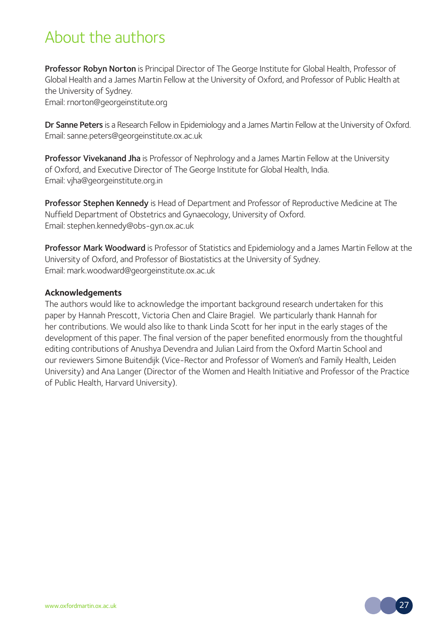# About the authors

Professor Robyn Norton is Principal Director of The George Institute for Global Health, Professor of Global Health and a James Martin Fellow at the University of Oxford, and Professor of Public Health at the University of Sydney.

Email: rnorton@georgeinstitute.org

Dr Sanne Peters is a Research Fellow in Epidemiology and a James Martin Fellow at the University of Oxford. Email: sanne.peters@georgeinstitute.ox.ac.uk

Professor Vivekanand Jha is Professor of Nephrology and a James Martin Fellow at the University of Oxford, and Executive Director of The George Institute for Global Health, India. Email: vjha@georgeinstitute.org.in

Professor Stephen Kennedy is Head of Department and Professor of Reproductive Medicine at The Nuffield Department of Obstetrics and Gynaecology, University of Oxford. Email: stephen.kennedy@obs-gyn.ox.ac.uk

Professor Mark Woodward is Professor of Statistics and Epidemiology and a James Martin Fellow at the University of Oxford, and Professor of Biostatistics at the University of Sydney. Email: mark.woodward@georgeinstitute.ox.ac.uk

#### **Acknowledgements**

The authors would like to acknowledge the important background research undertaken for this paper by Hannah Prescott, Victoria Chen and Claire Bragiel. We particularly thank Hannah for her contributions. We would also like to thank Linda Scott for her input in the early stages of the development of this paper. The final version of the paper benefited enormously from the thoughtful editing contributions of Anushya Devendra and Julian Laird from the Oxford Martin School and our reviewers Simone Buitendijk (Vice-Rector and Professor of Women's and Family Health, Leiden University) and Ana Langer (Director of the Women and Health Initiative and Professor of the Practice of Public Health, Harvard University).